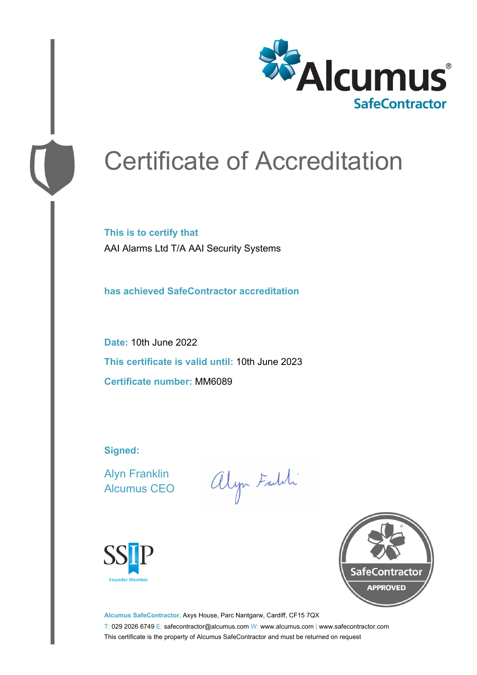

# Certificate of Accreditation

**This is to certify that** AAI Alarms Ltd T/A AAI Security Systems

**has achieved SafeContractor accreditation**

**Date:** 10th June 2022 **This certificate is valid until:** 10th June 2023 **Certificate number:** MM6089

**Signed:**

Alyn Franklin Alcumus CEO

alyn Faldi





**Alcumus SafeContractor,** Axys House, Parc Nantgarw, Cardiff, CF15 7QX T: 029 2026 6749 E: safecontractor@alcumus.com W: www.alcumus.com | www.safecontractor.com This certificate is the property of Alcumus SafeContractor and must be returned on request